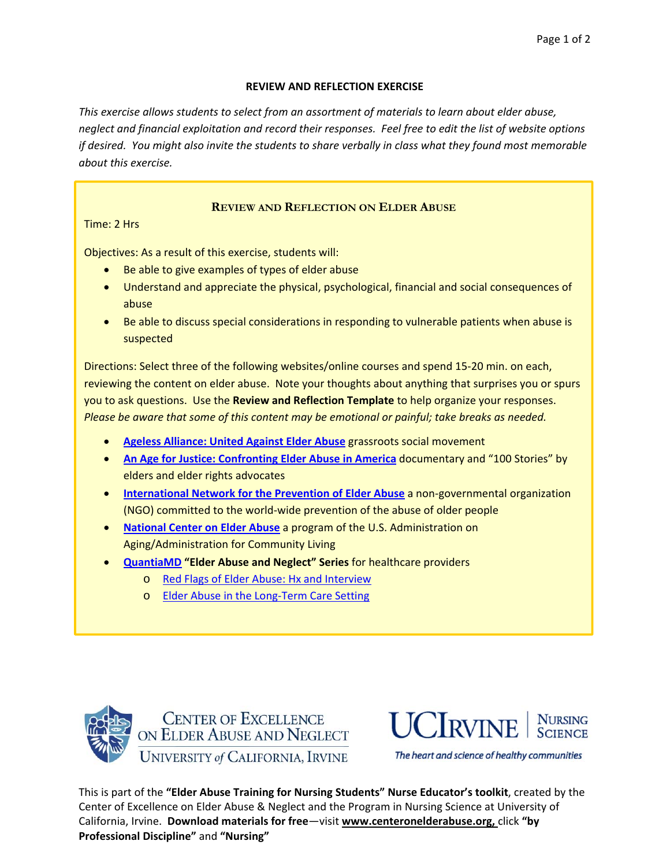## **REVIEW AND REFLECTION EXERCISE**

*This exercise allows students to select from an assortment of materials to learn about elder abuse,* neglect and financial exploitation and record their responses. Feel free to edit the list of website options if desired. You might also invite the students to share verbally in class what they found most memorable *about this exercise.*

# **REVIEW AND REFLECTION ON ELDER ABUSE**

Time: 2 Hrs

Objectives: As a result of this exercise, students will:

- Be able to give examples of types of elder abuse
- Understand and appreciate the physical, psychological, financial and social consequences of abuse
- Be able to discuss special considerations in responding to vulnerable patients when abuse is suspected

Directions: Select three of the following websites/online courses and spend 15‐20 min. on each, reviewing the content on elder abuse. Note your thoughts about anything that surprises you or spurs you to ask questions. Use the **Review and Reflection Template** to help organize your responses. *Please be aware that some of this content may be emotional or painful; take breaks as needed.*

- **Ageless Alliance: United Against Elder Abuse** grassroots social movement
- **An Age for Justice: Confronting Elder Abuse in America** documentary and "100 Stories" by elders and elder rights advocates
- **International Network for the Prevention of Elder Abuse** a non‐governmental organization (NGO) committed to the world‐wide prevention of the abuse of older people
- **National Center on Elder Abuse** a program of the U.S. Administration on Aging/Administration for Community Living
- **QuantiaMD "Elder Abuse and Neglect" Series** for healthcare providers
	- o Red Flags of Elder Abuse: Hx and Interview
	- o Elder Abuse in the Long-Term Care Setting





The heart and science of healthy communities

This is part of the **"Elder Abuse Training for Nursing Students" Nurse Educator's toolkit**, created by the Center of Excellence on Elder Abuse & Neglect and the Program in Nursing Science at University of California, Irvine. **Download materials for free**—visit **www.centeronelderabuse.org,** click **"by Professional Discipline"** and **"Nursing"**